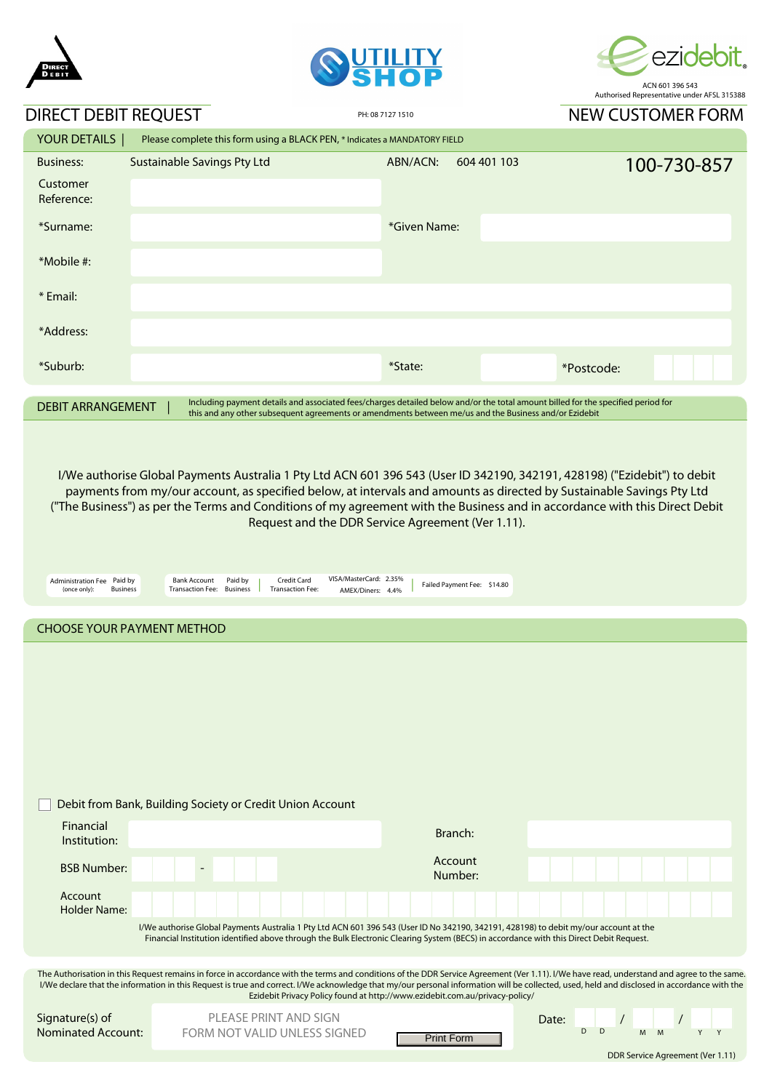





## DIRECT DEBIT REQUEST

NIEW CUSTOMER FORM

| DIKECT DEBIT REQUEST                                                                                                                                                                                                                                                  |                                                                                                                                                      | PH: 08 7127 1510            |             | <b>NEW CUSTOMER FORM</b> |             |  |  |  |
|-----------------------------------------------------------------------------------------------------------------------------------------------------------------------------------------------------------------------------------------------------------------------|------------------------------------------------------------------------------------------------------------------------------------------------------|-----------------------------|-------------|--------------------------|-------------|--|--|--|
| YOUR DETAILS                                                                                                                                                                                                                                                          | Please complete this form using a BLACK PEN, * Indicates a MANDATORY FIELD                                                                           |                             |             |                          |             |  |  |  |
| <b>Business:</b><br>Customer                                                                                                                                                                                                                                          | Sustainable Savings Pty Ltd                                                                                                                          | ABN/ACN:                    | 604 401 103 |                          | 100-730-857 |  |  |  |
| Reference:                                                                                                                                                                                                                                                            |                                                                                                                                                      |                             |             |                          |             |  |  |  |
| *Surname:                                                                                                                                                                                                                                                             |                                                                                                                                                      | *Given Name:                |             |                          |             |  |  |  |
| *Mobile #:                                                                                                                                                                                                                                                            |                                                                                                                                                      |                             |             |                          |             |  |  |  |
| * Email:                                                                                                                                                                                                                                                              |                                                                                                                                                      |                             |             |                          |             |  |  |  |
| *Address:                                                                                                                                                                                                                                                             |                                                                                                                                                      |                             |             |                          |             |  |  |  |
| *Suburb:                                                                                                                                                                                                                                                              |                                                                                                                                                      | *State:                     |             | *Postcode:               |             |  |  |  |
| Including payment details and associated fees/charges detailed below and/or the total amount billed for the specified period for<br><b>DEBIT ARRANGEMENT</b><br>this and any other subsequent agreements or amendments between me/us and the Business and/or Ezidebit |                                                                                                                                                      |                             |             |                          |             |  |  |  |
|                                                                                                                                                                                                                                                                       |                                                                                                                                                      |                             |             |                          |             |  |  |  |
| I/We authorise Global Payments Australia 1 Pty Ltd ACN 601 396 543 (User ID 342190, 342191, 428198) ("Ezidebit") to debit<br>payments from my/our account, as specified below, at intervals and amounts as directed by Sustainable Savings Pty Ltd                    |                                                                                                                                                      |                             |             |                          |             |  |  |  |
| ("The Business") as per the Terms and Conditions of my agreement with the Business and in accordance with this Direct Debit<br>Request and the DDR Service Agreement (Ver 1.11).                                                                                      |                                                                                                                                                      |                             |             |                          |             |  |  |  |
|                                                                                                                                                                                                                                                                       |                                                                                                                                                      |                             |             |                          |             |  |  |  |
| Administration Fee Paid by<br>(once only):<br><b>Business</b>                                                                                                                                                                                                         | VISA/MasterCard: 2.35%<br>Paid by<br>Credit Card<br><b>Bank Account</b><br>Transaction Fee: Business<br><b>Transaction Fee:</b><br>AMEX/Diners: 4.4% | Failed Payment Fee: \$14.80 |             |                          |             |  |  |  |
| <b>CHOOSE YOUR PAYMENT METHOD</b>                                                                                                                                                                                                                                     |                                                                                                                                                      |                             |             |                          |             |  |  |  |
|                                                                                                                                                                                                                                                                       |                                                                                                                                                      |                             |             |                          |             |  |  |  |

|                                                                                                                                                                                                                                                                                                                                                                                                                                                                         | Debit from Bank, Building Society or Credit Union Account                                                                                                                                                                                                                        |                    |       |  |  |  |  |  |  |
|-------------------------------------------------------------------------------------------------------------------------------------------------------------------------------------------------------------------------------------------------------------------------------------------------------------------------------------------------------------------------------------------------------------------------------------------------------------------------|----------------------------------------------------------------------------------------------------------------------------------------------------------------------------------------------------------------------------------------------------------------------------------|--------------------|-------|--|--|--|--|--|--|
| Financial<br>Institution:                                                                                                                                                                                                                                                                                                                                                                                                                                               |                                                                                                                                                                                                                                                                                  | Branch:            |       |  |  |  |  |  |  |
| <b>BSB Number:</b>                                                                                                                                                                                                                                                                                                                                                                                                                                                      |                                                                                                                                                                                                                                                                                  | Account<br>Number: |       |  |  |  |  |  |  |
| Account<br><b>Holder Name:</b>                                                                                                                                                                                                                                                                                                                                                                                                                                          |                                                                                                                                                                                                                                                                                  |                    |       |  |  |  |  |  |  |
|                                                                                                                                                                                                                                                                                                                                                                                                                                                                         | I/We authorise Global Payments Australia 1 Pty Ltd ACN 601 396 543 (User ID No 342190, 342191, 428198) to debit my/our account at the<br>Financial Institution identified above through the Bulk Electronic Clearing System (BECS) in accordance with this Direct Debit Request. |                    |       |  |  |  |  |  |  |
|                                                                                                                                                                                                                                                                                                                                                                                                                                                                         |                                                                                                                                                                                                                                                                                  |                    |       |  |  |  |  |  |  |
| The Authorisation in this Request remains in force in accordance with the terms and conditions of the DDR Service Agreement (Ver 1.11). I/We have read, understand and agree to the same.<br>I/We declare that the information in this Request is true and correct. I/We acknowledge that my/our personal information will be collected, used, held and disclosed in accordance with the<br>Ezidebit Privacy Policy found at http://www.ezidebit.com.au/privacy-policy/ |                                                                                                                                                                                                                                                                                  |                    |       |  |  |  |  |  |  |
| Signature(s) of                                                                                                                                                                                                                                                                                                                                                                                                                                                         | PLEASE PRINT AND SIGN                                                                                                                                                                                                                                                            |                    | Date: |  |  |  |  |  |  |
| <b>Nominated Account:</b>                                                                                                                                                                                                                                                                                                                                                                                                                                               | FORM NOT VALID UNLESS SIGNED                                                                                                                                                                                                                                                     | <b>Print Form</b>  | D     |  |  |  |  |  |  |
| DDR Service Agreement (Ver 1.11)                                                                                                                                                                                                                                                                                                                                                                                                                                        |                                                                                                                                                                                                                                                                                  |                    |       |  |  |  |  |  |  |